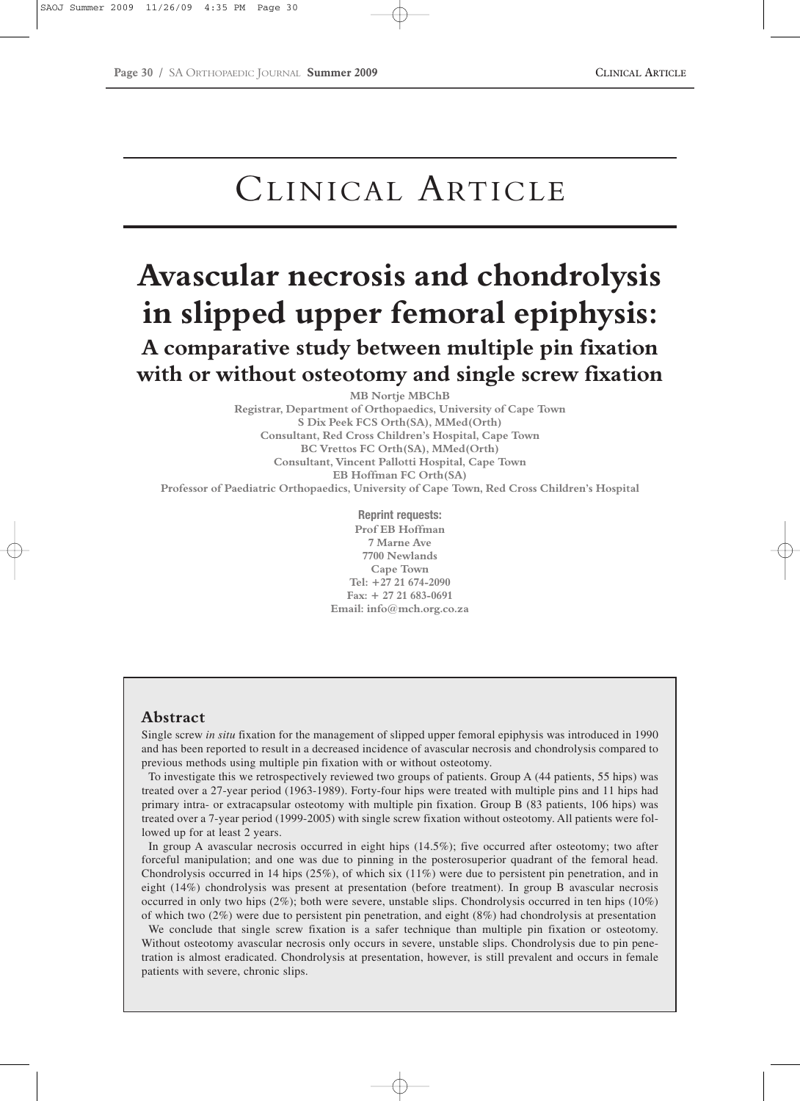# CLINICAL ARTICLE

## **Avascular necrosis and chondrolysis in slipped upper femoral epiphysis: A comparative study between multiple pin fixation with or without osteotomy and single screw fixation**

**MB Nortje MBChB Registrar, Department of Orthopaedics, University of Cape Town S Dix Peek FCS Orth(SA), MMed(Orth) Consultant, Red Cross Children's Hospital, Cape Town BC Vrettos FC Orth(SA), MMed(Orth) Consultant, Vincent Pallotti Hospital, Cape Town EB Hoffman FC Orth(SA) Professor of Paediatric Orthopaedics, University of Cape Town, Red Cross Children's Hospital**

> **Reprint requests: Prof EB Hoffman 7 Marne Ave 7700 Newlands Cape Town Tel: +27 21 674-2090 Fax: + 27 21 683-0691 Email: info@mch.org.co.za**

## **Abstract**

Single screw *in situ* fixation for the management of slipped upper femoral epiphysis was introduced in 1990 and has been reported to result in a decreased incidence of avascular necrosis and chondrolysis compared to previous methods using multiple pin fixation with or without osteotomy.

To investigate this we retrospectively reviewed two groups of patients. Group A (44 patients, 55 hips) was treated over a 27-year period (1963-1989). Forty-four hips were treated with multiple pins and 11 hips had primary intra- or extracapsular osteotomy with multiple pin fixation. Group B (83 patients, 106 hips) was treated over a 7-year period (1999-2005) with single screw fixation without osteotomy. All patients were followed up for at least 2 years.

In group A avascular necrosis occurred in eight hips (14.5%); five occurred after osteotomy; two after forceful manipulation; and one was due to pinning in the posterosuperior quadrant of the femoral head. Chondrolysis occurred in 14 hips  $(25\%)$ , of which six  $(11\%)$  were due to persistent pin penetration, and in eight (14%) chondrolysis was present at presentation (before treatment). In group B avascular necrosis occurred in only two hips  $(2\%)$ ; both were severe, unstable slips. Chondrolysis occurred in ten hips  $(10\%)$ of which two (2%) were due to persistent pin penetration, and eight (8%) had chondrolysis at presentation

We conclude that single screw fixation is a safer technique than multiple pin fixation or osteotomy. Without osteotomy avascular necrosis only occurs in severe, unstable slips. Chondrolysis due to pin penetration is almost eradicated. Chondrolysis at presentation, however, is still prevalent and occurs in female patients with severe, chronic slips.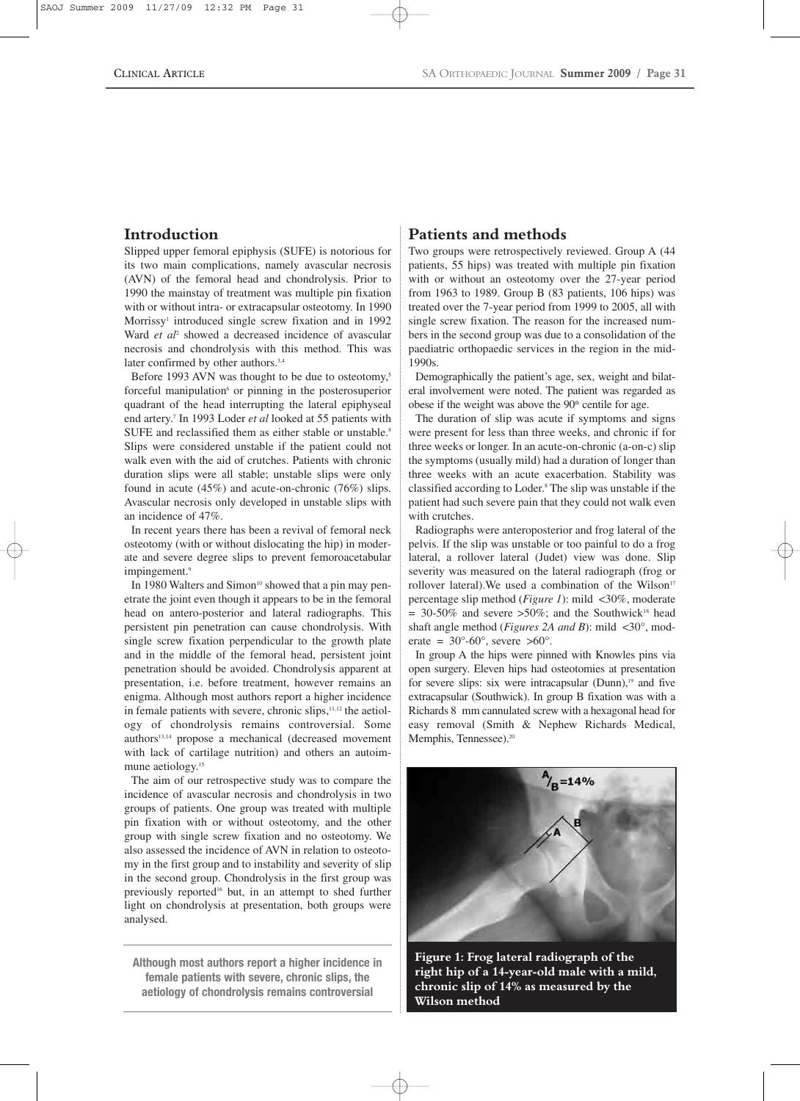## **Introduction**

Slipped upper femoral epiphysis (SUFE) is notorious for its two main complications, namely avascular necrosis (AVN) of the femoral head and chondrolysis. Prior to 1990 the mainstay of treatment was multiple pin fixation with or without intra- or extracapsular osteotomy. In 1990 Morrissy<sup>1</sup> introduced single screw fixation and in 1992 Ward *et al*<sup>2</sup> showed a decreased incidence of avascular necrosis and chondrolysis with this method. This was later confirmed by other authors.<sup>3,4</sup>

Before 1993 AVN was thought to be due to osteotomy,<sup>5</sup> forceful manipulation<sup>6</sup> or pinning in the posterosuperior quadrant of the head interrupting the lateral epiphyseal end artery.7 In 1993 Loder *et al* looked at 55 patients with SUFE and reclassified them as either stable or unstable.<sup>8</sup> Slips were considered unstable if the patient could not walk even with the aid of crutches. Patients with chronic duration slips were all stable; unstable slips were only found in acute (45%) and acute-on-chronic (76%) slips. Avascular necrosis only developed in unstable slips with an incidence of 47%.

In recent years there has been a revival of femoral neck osteotomy (with or without dislocating the hip) in moderate and severe degree slips to prevent femoroacetabular impingement.<sup>9</sup>

In 1980 Walters and Simon<sup>10</sup> showed that a pin may penetrate the joint even though it appears to be in the femoral head on antero-posterior and lateral radiographs. This persistent pin penetration can cause chondrolysis. With single screw fixation perpendicular to the growth plate and in the middle of the femoral head, persistent joint penetration should be avoided. Chondrolysis apparent at presentation, i.e. before treatment, however remains an enigma. Although most authors report a higher incidence in female patients with severe, chronic slips, $11,12$  the aetiology of chondrolysis remains controversial. Some authors13,14 propose a mechanical (decreased movement with lack of cartilage nutrition) and others an autoimmune aetiology.<sup>15</sup>

The aim of our retrospective study was to compare the incidence of avascular necrosis and chondrolysis in two groups of patients. One group was treated with multiple pin fixation with or without osteotomy, and the other group with single screw fixation and no osteotomy. We also assessed the incidence of AVN in relation to osteotomy in the first group and to instability and severity of slip in the second group. Chondrolysis in the first group was previously reported16 but, in an attempt to shed further light on chondrolysis at presentation, both groups were analysed.

**Although most authors report a higher incidence in female patients with severe, chronic slips, the aetiology of chondrolysis remains controversial**

## **Patients and methods**

Two groups were retrospectively reviewed. Group A (44 patients, 55 hips) was treated with multiple pin fixation with or without an osteotomy over the 27-year period from 1963 to 1989. Group B (83 patients, 106 hips) was treated over the 7-year period from 1999 to 2005, all with single screw fixation. The reason for the increased numbers in the second group was due to a consolidation of the paediatric orthopaedic services in the region in the mid-1990s.

Demographically the patient's age, sex, weight and bilateral involvement were noted. The patient was regarded as obese if the weight was above the  $90<sup>th</sup>$  centile for age.

The duration of slip was acute if symptoms and signs were present for less than three weeks, and chronic if for three weeks or longer. In an acute-on-chronic (a-on-c) slip the symptoms (usually mild) had a duration of longer than three weeks with an acute exacerbation. Stability was classified according to Loder.8 The slip was unstable if the patient had such severe pain that they could not walk even with crutches.

Radiographs were anteroposterior and frog lateral of the pelvis. If the slip was unstable or too painful to do a frog lateral, a rollover lateral (Judet) view was done. Slip severity was measured on the lateral radiograph (frog or rollover lateral). We used a combination of the Wilson<sup>17</sup> percentage slip method (*Figure 1*): mild <30%, moderate  $= 30-50\%$  and severe  $>50\%$ ; and the Southwick<sup>18</sup> head shaft angle method (*Figures 2A and B*): mild <30°, moderate =  $30^{\circ}$ -60°, severe >60°.

In group A the hips were pinned with Knowles pins via open surgery. Eleven hips had osteotomies at presentation for severe slips: six were intracapsular  $(Dunn)$ ,<sup>19</sup> and five extracapsular (Southwick). In group B fixation was with a Richards 8 mm cannulated screw with a hexagonal head for easy removal (Smith & Nephew Richards Medical, Memphis, Tennessee).<sup>20</sup>



**Figure 1: Frog lateral radiograph of the right hip of a 14-year-old male with a mild, chronic slip of 14% as measured by the Wilson method**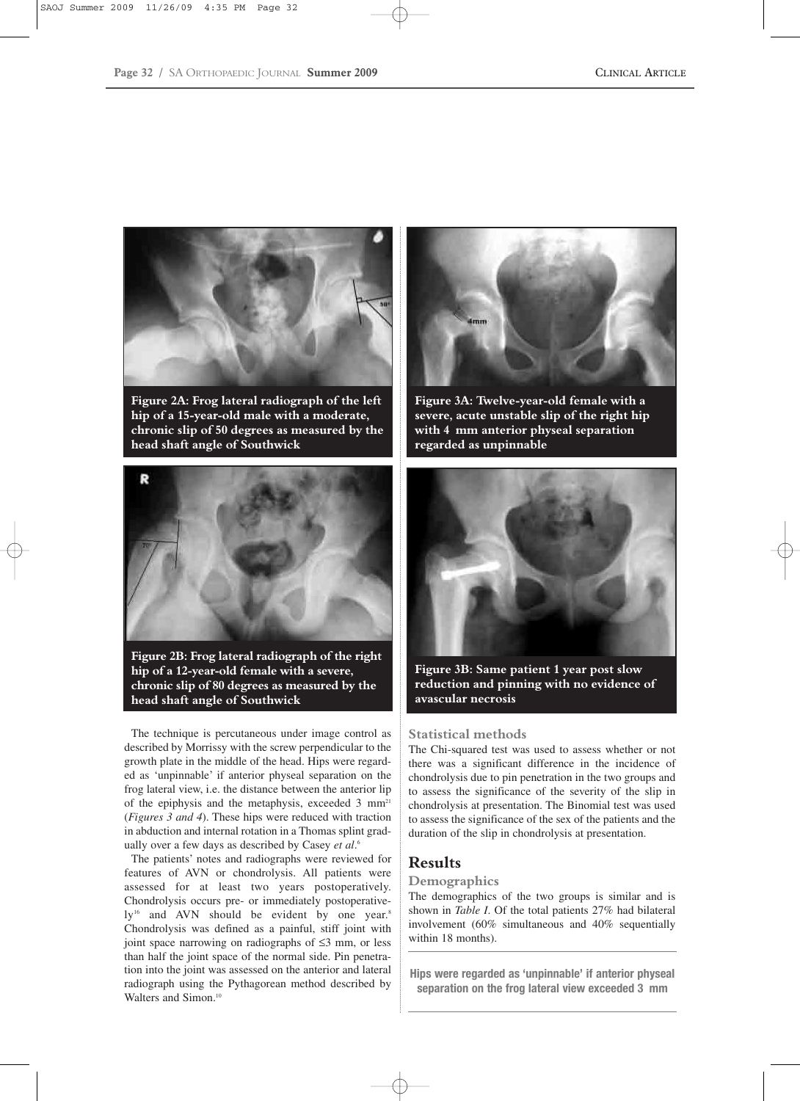

**Figure 2A: Frog lateral radiograph of the left hip of a 15-year-old male with a moderate, chronic slip of 50 degrees as measured by the head shaft angle of Southwick**



**Figure 2B: Frog lateral radiograph of the right hip of a 12-year-old female with a severe, chronic slip of 80 degrees as measured by the head shaft angle of Southwick** 

The technique is percutaneous under image control as described by Morrissy with the screw perpendicular to the growth plate in the middle of the head. Hips were regarded as 'unpinnable' if anterior physeal separation on the frog lateral view, i.e. the distance between the anterior lip of the epiphysis and the metaphysis, exceeded 3 mm<sup>21</sup> (*Figures 3 and 4*). These hips were reduced with traction in abduction and internal rotation in a Thomas splint gradually over a few days as described by Casey *et al*. 6

The patients' notes and radiographs were reviewed for features of AVN or chondrolysis. All patients were assessed for at least two years postoperatively. Chondrolysis occurs pre- or immediately postoperatively<sup>16</sup> and AVN should be evident by one year.<sup>8</sup> Chondrolysis was defined as a painful, stiff joint with joint space narrowing on radiographs of ≤3 mm, or less than half the joint space of the normal side. Pin penetration into the joint was assessed on the anterior and lateral radiograph using the Pythagorean method described by Walters and Simon.<sup>10</sup>



**Figure 3A: Twelve-year-old female with a severe, acute unstable slip of the right hip with 4 mm anterior physeal separation regarded as unpinnable**



**Figure 3B: Same patient 1 year post slow reduction and pinning with no evidence of avascular necrosis**

#### **Statistical methods**

The Chi-squared test was used to assess whether or not there was a significant difference in the incidence of chondrolysis due to pin penetration in the two groups and to assess the significance of the severity of the slip in chondrolysis at presentation. The Binomial test was used to assess the significance of the sex of the patients and the duration of the slip in chondrolysis at presentation.

## **Results**

#### **Demographics**

The demographics of the two groups is similar and is shown in *Table I*. Of the total patients 27% had bilateral involvement (60% simultaneous and 40% sequentially within 18 months).

**Hips were regarded as 'unpinnable' if anterior physeal separation on the frog lateral view exceeded 3 mm**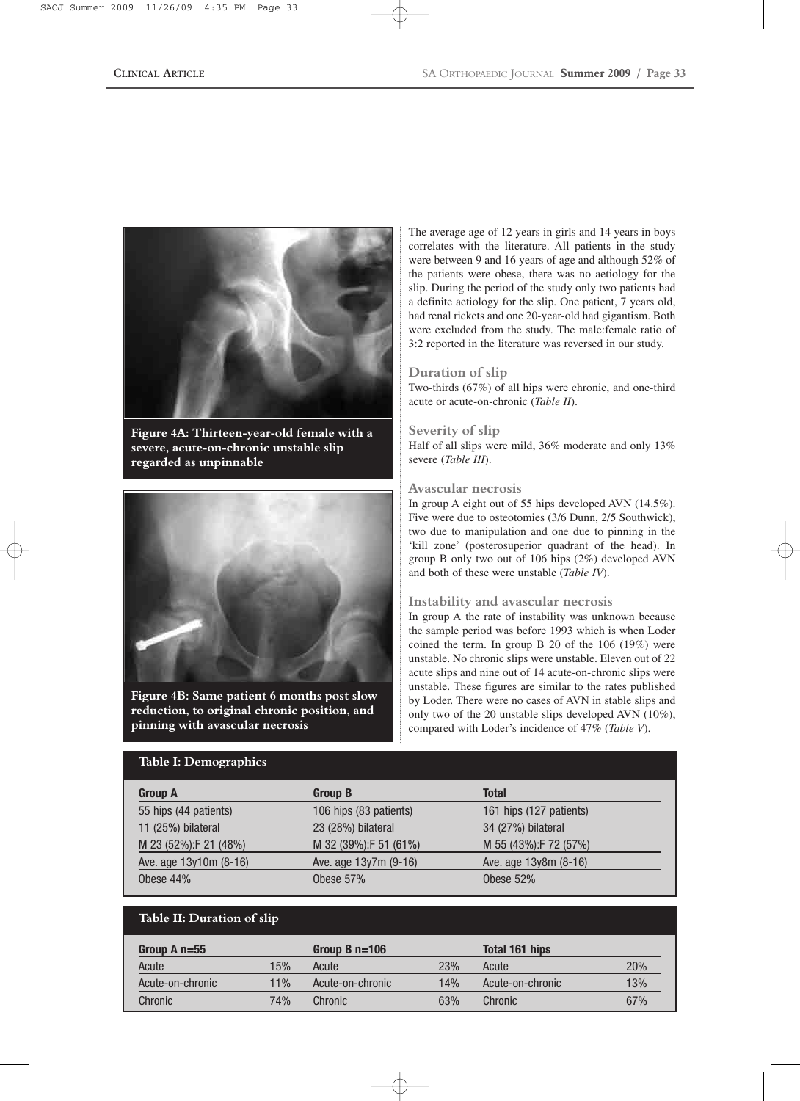

**Figure 4A: Thirteen-year-old female with a severe, acute-on-chronic unstable slip regarded as unpinnable**



**Figure 4B: Same patient 6 months post slow reduction, to original chronic position, and pinning with avascular necrosis**

## **Table I: Demographics**

The average age of 12 years in girls and 14 years in boys correlates with the literature. All patients in the study were between 9 and 16 years of age and although 52% of the patients were obese, there was no aetiology for the slip. During the period of the study only two patients had a definite aetiology for the slip. One patient, 7 years old, had renal rickets and one 20-year-old had gigantism. Both were excluded from the study. The male:female ratio of 3:2 reported in the literature was reversed in our study.

#### **Duration of slip**

Two-thirds (67%) of all hips were chronic, and one-third acute or acute-on-chronic (*Table II*).

#### **Severity of slip**

Half of all slips were mild, 36% moderate and only 13% severe (*Table III*).

#### **Avascular necrosis**

In group A eight out of 55 hips developed AVN (14.5%). Five were due to osteotomies (3/6 Dunn, 2/5 Southwick), two due to manipulation and one due to pinning in the 'kill zone' (posterosuperior quadrant of the head). In group B only two out of 106 hips (2%) developed AVN and both of these were unstable (*Table IV*).

#### **Instability and avascular necrosis**

In group A the rate of instability was unknown because the sample period was before 1993 which is when Loder coined the term. In group B 20 of the 106 (19%) were unstable. No chronic slips were unstable. Eleven out of 22 acute slips and nine out of 14 acute-on-chronic slips were unstable. These figures are similar to the rates published by Loder. There were no cases of AVN in stable slips and only two of the 20 unstable slips developed AVN (10%), compared with Loder's incidence of 47% (*Table V*).

| .                      |                        |                         |
|------------------------|------------------------|-------------------------|
| <b>Group A</b>         | <b>Group B</b>         | Total                   |
| 55 hips (44 patients)  | 106 hips (83 patients) | 161 hips (127 patients) |
| 11 (25%) bilateral     | 23 (28%) bilateral     | 34 (27%) bilateral      |
| M 23 (52%):F 21 (48%)  | M 32 (39%):F 51 (61%)  | M 55 (43%): F 72 (57%)  |
| Ave. age 13y10m (8-16) | Ave. age 13y7m (9-16)  | Ave. age 13y8m (8-16)   |
| Obese 44%              | Obese $57%$            | Obese $52%$             |

## **Table II: Duration of slip**

| Group A $n=55$   |     | Group B $n=106$  |     | <b>Total 161 hips</b> |     |
|------------------|-----|------------------|-----|-----------------------|-----|
| Acute            | 15% | Acute            | 23% | Acute                 | 20% |
| Acute-on-chronic | 11% | Acute-on-chronic | 14% | Acute-on-chronic      | 13% |
| Chronic          | 74% | Chronic          | 63% | Chronic               | 67% |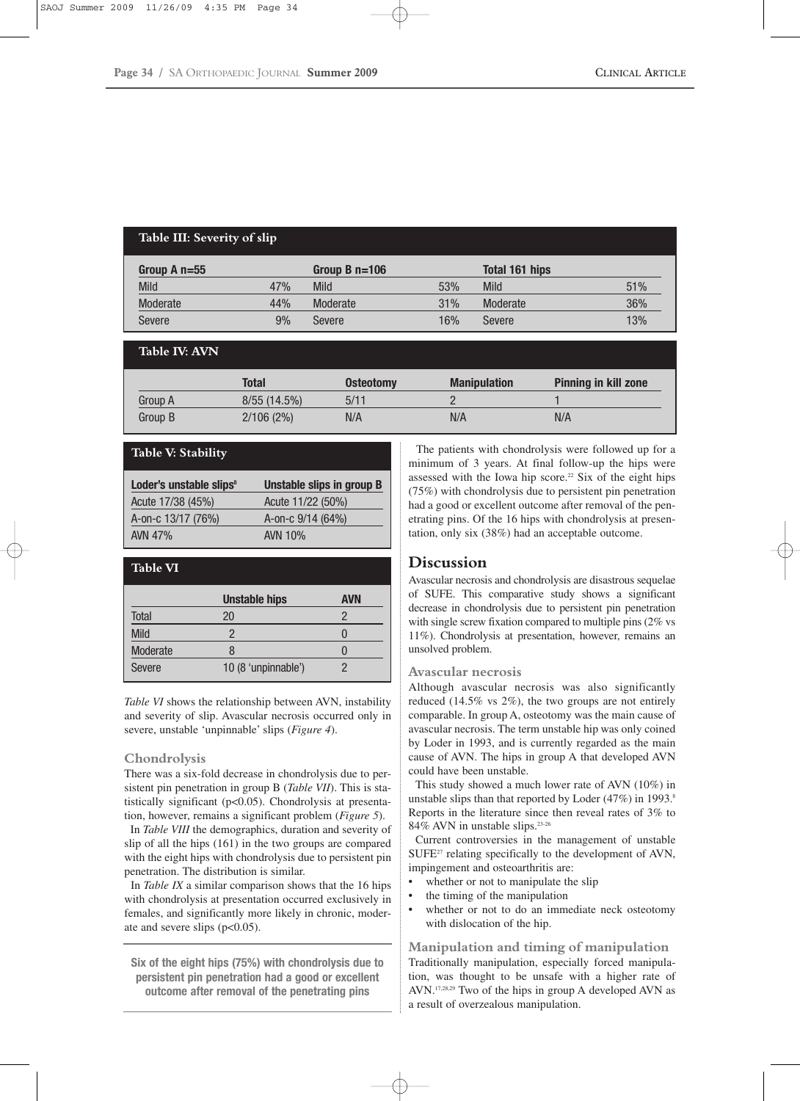## **Table III: Severity of slip**

| Group A $n=55$ |     | Group B $n=106$ |     | Total 161 hips |     |
|----------------|-----|-----------------|-----|----------------|-----|
| <b>Mild</b>    | 47% | Mild            | 53% | <b>Mild</b>    | 51% |
| Moderate       | 44% | Moderate        | 31% | Moderate       | 36% |
| Severe         | 9%  | Severe          | 16% | Severe         | 13% |

## **Table IV: AVN**

|         | Total       | <b>Osteotomy</b> | <b>Manipulation</b> | <b>Pinning in kill zone</b> |
|---------|-------------|------------------|---------------------|-----------------------------|
| Group A | 8/55(14.5%) | 5/11             |                     |                             |
| Group B | 2/106(2%)   | N/A              | N/A                 | N/A                         |

#### **Table V: Stability**

| Loder's unstable slips <sup>8</sup> | Unstable slips in group B |
|-------------------------------------|---------------------------|
| Acute 17/38 (45%)                   | Acute 11/22 (50%)         |
| A-on-c 13/17 (76%)                  | A-on-c 9/14 (64%)         |
| AVN 47%                             | AVN 10%                   |

| <b>Table VI</b> |                      |            |
|-----------------|----------------------|------------|
|                 | <b>Unstable hips</b> | <b>AVN</b> |
| <b>Total</b>    | 20                   | 2          |
| <b>Mild</b>     | 2                    |            |
| Moderate        | 8                    |            |
| Severe          | 10 (8 'unpinnable')  | 2          |

*Table VI* shows the relationship between AVN, instability and severity of slip. Avascular necrosis occurred only in severe, unstable 'unpinnable' slips (*Figure 4*).

#### **Chondrolysis**

There was a six-fold decrease in chondrolysis due to persistent pin penetration in group B (*Table VII*). This is statistically significant (p<0.05). Chondrolysis at presentation, however, remains a significant problem (*Figure 5*).

In *Table VIII* the demographics, duration and severity of slip of all the hips (161) in the two groups are compared with the eight hips with chondrolysis due to persistent pin penetration. The distribution is similar.

In *Table IX* a similar comparison shows that the 16 hips with chondrolysis at presentation occurred exclusively in females, and significantly more likely in chronic, moderate and severe slips  $(p<0.05)$ .

**Six of the eight hips (75%) with chondrolysis due to persistent pin penetration had a good or excellent outcome after removal of the penetrating pins**

The patients with chondrolysis were followed up for a minimum of 3 years. At final follow-up the hips were assessed with the Iowa hip score.<sup>22</sup> Six of the eight hips (75%) with chondrolysis due to persistent pin penetration had a good or excellent outcome after removal of the penetrating pins. Of the 16 hips with chondrolysis at presentation, only six (38%) had an acceptable outcome.

## **Discussion**

Avascular necrosis and chondrolysis are disastrous sequelae of SUFE. This comparative study shows a significant decrease in chondrolysis due to persistent pin penetration with single screw fixation compared to multiple pins (2% vs 11%). Chondrolysis at presentation, however, remains an unsolved problem.

#### **Avascular necrosis**

Although avascular necrosis was also significantly reduced (14.5% vs 2%), the two groups are not entirely comparable. In group A, osteotomy was the main cause of avascular necrosis. The term unstable hip was only coined by Loder in 1993, and is currently regarded as the main cause of AVN. The hips in group A that developed AVN could have been unstable.

This study showed a much lower rate of AVN (10%) in unstable slips than that reported by Loder  $(47%)$  in 1993.<sup>8</sup> Reports in the literature since then reveal rates of 3% to 84% AVN in unstable slips.23-26

Current controversies in the management of unstable SUFE<sup>27</sup> relating specifically to the development of AVN, impingement and osteoarthritis are:

- whether or not to manipulate the slip
- the timing of the manipulation
- whether or not to do an immediate neck osteotomy with dislocation of the hip.

**Manipulation and timing of manipulation** Traditionally manipulation, especially forced manipulation, was thought to be unsafe with a higher rate of AVN.17,28,29 Two of the hips in group A developed AVN as a result of overzealous manipulation.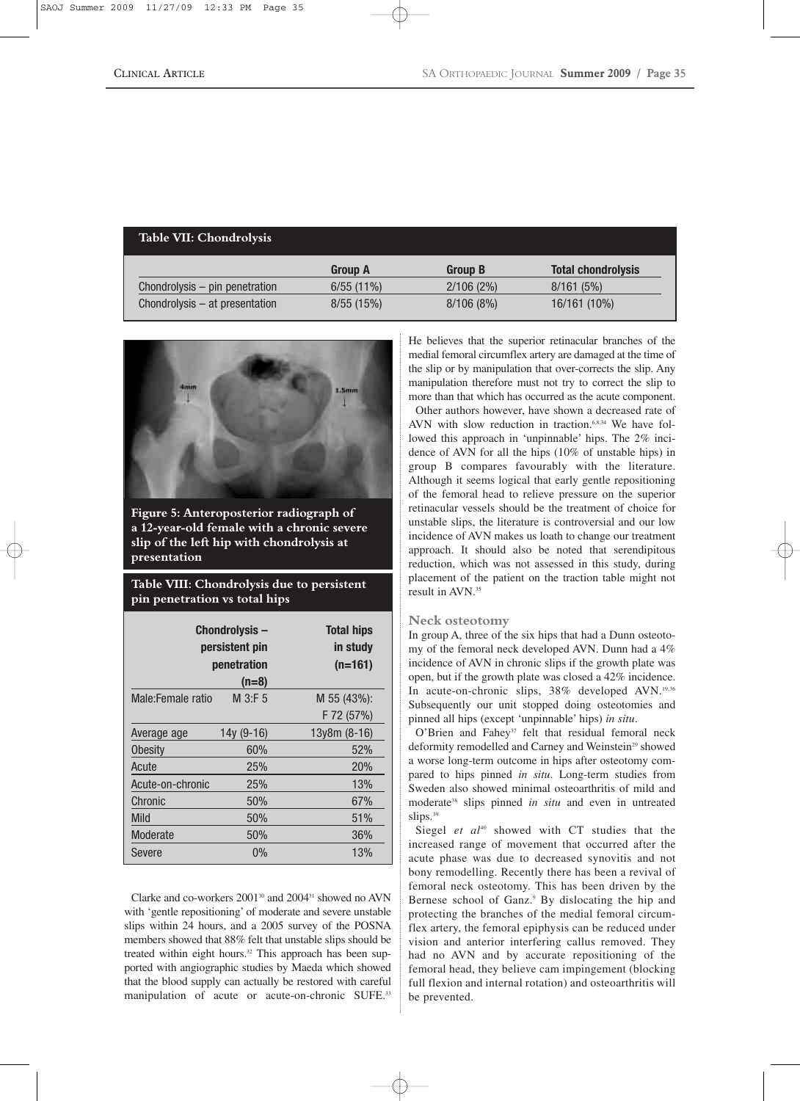## **Table VII: Chondrolysis**

|                                | <b>Group A</b> | <b>Group B</b> | <b>Total chondrolysis</b> |
|--------------------------------|----------------|----------------|---------------------------|
| Chondrolysis – pin penetration | $6/55(11\%)$   | 2/106(2%)      | 8/161(5%)                 |
| Chondrolysis – at presentation | 8/55(15%)      | 8/106(8%)      | 16/161 (10%)              |



**Figure 5: Anteroposterior radiograph of a 12-year-old female with a chronic severe slip of the left hip with chondrolysis at presentation**

## **Table VIII: Chondrolysis due to persistent pin penetration vs total hips**

| Chondrolysis-<br>persistent pin<br>penetration |            | <b>Total hips</b><br>in study<br>$(n=161)$ |
|------------------------------------------------|------------|--------------------------------------------|
|                                                | $(n=8)$    |                                            |
| Male:Female ratio                              | M 3:F 5    | $M$ 55 (43%):                              |
|                                                |            | F 72 (57%)                                 |
| Average age                                    | 14y (9-16) | $13y8m (8-16)$                             |
| <b>Obesity</b>                                 | 60%        | 52%                                        |
| Acute                                          | 25%        | <b>20%</b>                                 |
| Acute-on-chronic                               | 25%        | 13%                                        |
| Chronic                                        | 50%        | 67%                                        |
| Mild                                           | 50%        | 51%                                        |
| Moderate                                       | 50%        | 36%                                        |
| Severe                                         | 0%         | 13%                                        |

Clarke and co-workers 2001<sup>30</sup> and 2004<sup>31</sup> showed no AVN with 'gentle repositioning' of moderate and severe unstable slips within 24 hours, and a 2005 survey of the POSNA members showed that 88% felt that unstable slips should be treated within eight hours.<sup>32</sup> This approach has been supported with angiographic studies by Maeda which showed that the blood supply can actually be restored with careful manipulation of acute or acute-on-chronic SUFE.<sup>33</sup> He believes that the superior retinacular branches of the medial femoral circumflex artery are damaged at the time of the slip or by manipulation that over-corrects the slip. Any manipulation therefore must not try to correct the slip to more than that which has occurred as the acute component.

Other authors however, have shown a decreased rate of AVN with slow reduction in traction.<sup>6,8,34</sup> We have followed this approach in 'unpinnable' hips. The 2% incidence of AVN for all the hips (10% of unstable hips) in group B compares favourably with the literature. Although it seems logical that early gentle repositioning of the femoral head to relieve pressure on the superior retinacular vessels should be the treatment of choice for unstable slips, the literature is controversial and our low incidence of AVN makes us loath to change our treatment approach. It should also be noted that serendipitous reduction, which was not assessed in this study, during placement of the patient on the traction table might not result in AVN.<sup>35</sup>

## **Neck osteotomy**

In group A, three of the six hips that had a Dunn osteotomy of the femoral neck developed AVN. Dunn had a 4% incidence of AVN in chronic slips if the growth plate was open, but if the growth plate was closed a 42% incidence. In acute-on-chronic slips, 38% developed AVN.<sup>19,36</sup> Subsequently our unit stopped doing osteotomies and pinned all hips (except 'unpinnable' hips) *in situ*.

O'Brien and Fahey<sup>37</sup> felt that residual femoral neck deformity remodelled and Carney and Weinstein<sup>29</sup> showed a worse long-term outcome in hips after osteotomy compared to hips pinned *in situ*. Long-term studies from Sweden also showed minimal osteoarthritis of mild and moderate<sup>38</sup> slips pinned *in situ* and even in untreated slips.<sup>39</sup>

Siegel *et al<sup>40</sup>* showed with CT studies that the increased range of movement that occurred after the acute phase was due to decreased synovitis and not bony remodelling. Recently there has been a revival of femoral neck osteotomy. This has been driven by the Bernese school of Ganz.<sup>9</sup> By dislocating the hip and protecting the branches of the medial femoral circumflex artery, the femoral epiphysis can be reduced under vision and anterior interfering callus removed. They had no AVN and by accurate repositioning of the femoral head, they believe cam impingement (blocking full flexion and internal rotation) and osteoarthritis will be prevented.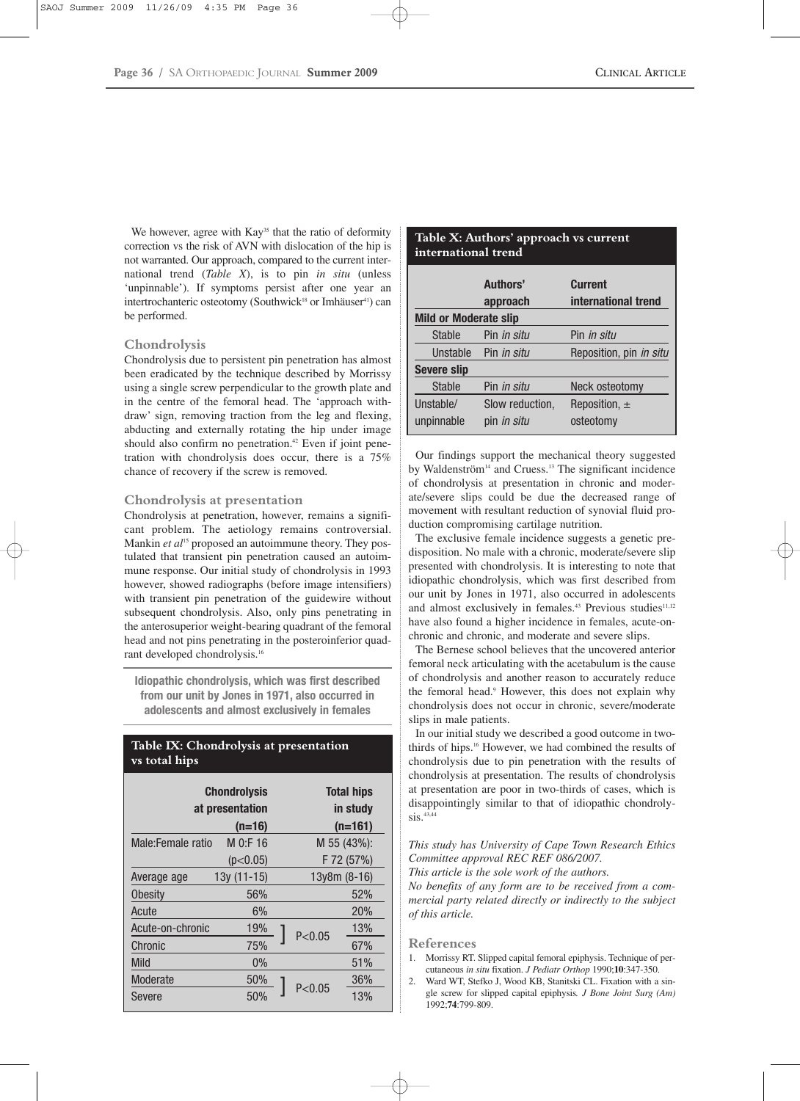We however, agree with Kay<sup>35</sup> that the ratio of deformity correction vs the risk of AVN with dislocation of the hip is not warranted. Our approach, compared to the current international trend (*Table X*), is to pin *in situ* (unless 'unpinnable'). If symptoms persist after one year an intertrochanteric osteotomy (Southwick<sup>18</sup> or Imhäuser<sup>41</sup>) can be performed.

## **Chondrolysis**

Chondrolysis due to persistent pin penetration has almost been eradicated by the technique described by Morrissy using a single screw perpendicular to the growth plate and in the centre of the femoral head. The 'approach withdraw' sign, removing traction from the leg and flexing, abducting and externally rotating the hip under image should also confirm no penetration.<sup>42</sup> Even if joint penetration with chondrolysis does occur, there is a 75% chance of recovery if the screw is removed.

#### **Chondrolysis at presentation**

Chondrolysis at penetration, however, remains a significant problem. The aetiology remains controversial. Mankin *et al*<sup>15</sup> proposed an autoimmune theory. They postulated that transient pin penetration caused an autoimmune response. Our initial study of chondrolysis in 1993 however, showed radiographs (before image intensifiers) with transient pin penetration of the guidewire without subsequent chondrolysis. Also, only pins penetrating in the anterosuperior weight-bearing quadrant of the femoral head and not pins penetrating in the posteroinferior quadrant developed chondrolysis.16

**Idiopathic chondrolysis, which was first described from our unit by Jones in 1971, also occurred in adolescents and almost exclusively in females**

## **Table IX: Chondrolysis at presentation vs total hips**

| <b>Chondrolysis</b><br>at presentation |              |             | <b>Total hips</b><br>in study |
|----------------------------------------|--------------|-------------|-------------------------------|
|                                        | $(n=16)$     | $(n=161)$   |                               |
| $M$ 0:F 16<br>Male:Female ratio        |              | M 55 (43%): |                               |
|                                        | (p<0.05)     |             | F 72 (57%)                    |
| Average age                            | $13y(11-15)$ |             | $13y8m (8-16)$                |
| <b>Obesity</b>                         | 56%          |             | 52%                           |
| Acute                                  | 6%           |             | <b>20%</b>                    |
| Acute-on-chronic                       | 19%          | P < 0.05    | 13%                           |
| Chronic                                | 75%          |             | 67%                           |
| Mild                                   | $0\%$        |             | 51%                           |
| Moderate                               | 50%          |             | 36%                           |
| Severe                                 | 50%          | P < 0.05    | 13%                           |

## **Table X: Authors' approach vs current international trend**

|                              | Authors'<br>approach | <b>Current</b><br>international trend |  |
|------------------------------|----------------------|---------------------------------------|--|
| <b>Mild or Moderate slip</b> |                      |                                       |  |
| Stable                       | Pin <i>in situ</i>   | Pin <i>in situ</i>                    |  |
| Unstable                     | Pin <i>in situ</i>   | Reposition, pin in situ               |  |
| <b>Severe slip</b>           |                      |                                       |  |
| <b>Stable</b>                | Pin <i>in situ</i>   | Neck osteotomy                        |  |
| Unstable/                    | Slow reduction,      | Reposition, $\pm$                     |  |
| unpinnable                   | pin <i>in situ</i>   | osteotomy                             |  |

Our findings support the mechanical theory suggested by Waldenström<sup>14</sup> and Cruess.<sup>13</sup> The significant incidence of chondrolysis at presentation in chronic and moderate/severe slips could be due the decreased range of movement with resultant reduction of synovial fluid production compromising cartilage nutrition.

The exclusive female incidence suggests a genetic predisposition. No male with a chronic, moderate/severe slip presented with chondrolysis. It is interesting to note that idiopathic chondrolysis, which was first described from our unit by Jones in 1971, also occurred in adolescents and almost exclusively in females.<sup>43</sup> Previous studies<sup>11,12</sup> have also found a higher incidence in females, acute-onchronic and chronic, and moderate and severe slips.

The Bernese school believes that the uncovered anterior femoral neck articulating with the acetabulum is the cause of chondrolysis and another reason to accurately reduce the femoral head.<sup>9</sup> However, this does not explain why chondrolysis does not occur in chronic, severe/moderate slips in male patients.

In our initial study we described a good outcome in twothirds of hips.16 However, we had combined the results of chondrolysis due to pin penetration with the results of chondrolysis at presentation. The results of chondrolysis at presentation are poor in two-thirds of cases, which is disappointingly similar to that of idiopathic chondrolysis.<sup>43,44</sup>

*This study has University of Cape Town Research Ethics Committee approval REC REF 086/2007.*

*This article is the sole work of the authors.*

*No benefits of any form are to be received from a commercial party related directly or indirectly to the subject of this article.*

#### **References**

- 1. Morrissy RT. Slipped capital femoral epiphysis. Technique of percutaneous *in situ* fixation. *J Pediatr Orthop* 1990;**10**:347-350.
- 2. Ward WT, Stefko J, Wood KB, Stanitski CL. Fixation with a single screw for slipped capital epiphysis*. J Bone Joint Surg (Am)* 1992;**74**:799-809.